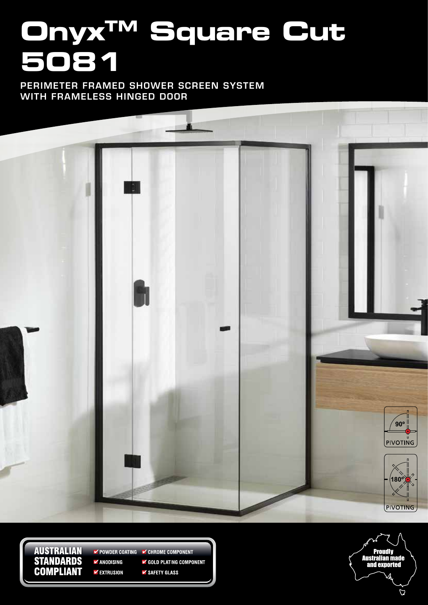# **OnyxTM Square Cut 5081**

PERIMETER FRAMED SHOWER SCREEN SYSTEM WITH FRAMELESS HINGED DOOR



**AUSTRALIAN STANDARDS COMPLIANT** 

POWDER COATING **V** CHROME COMPONENT  $\blacktriangleright$  ANODISING GOLD PLATING COMPONENT

**V** EXTRUSION

✔ SAFETY GLASS